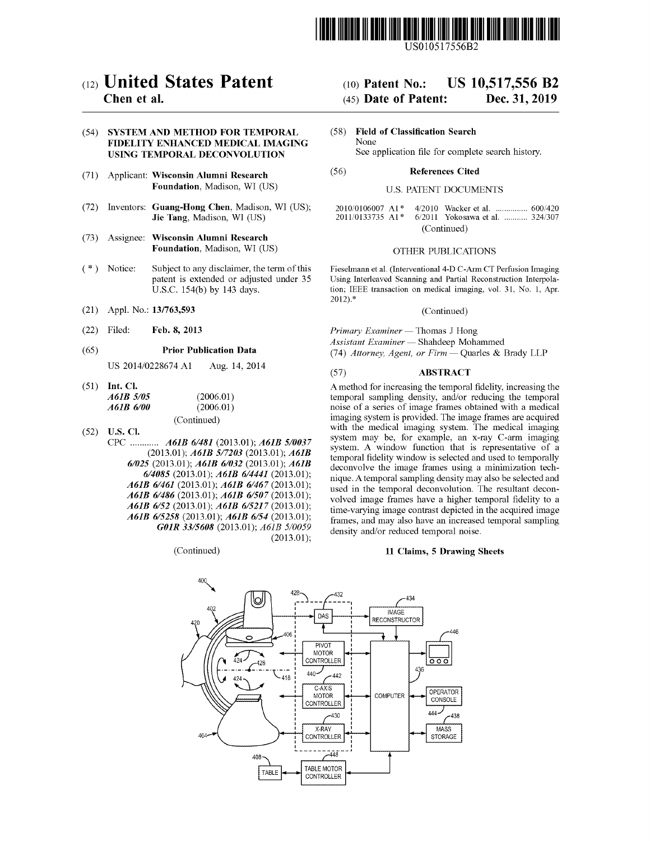

US010517556B2

## c12) **United States Patent**

## **Chen et al.**

## (54) **SYSTEM AND METHOD FOR TEMPORAL FIDELITY ENHANCED MEDICAL IMAGING USING TEMPORAL DECONVOLUTION**

- (71) Applicant: **Wisconsin Alumni Research Foundation,** Madison, WI (US)
- (72) Inventors: **Guang-Hong Chen,** Madison, WI (US); **Jie Tang,** Madison, WI (US)
- (73) Assignee: **Wisconsin Alumni Research Foundation,** Madison, WI (US)
- $(*)$  Notice: Subject to any disclaimer, the term of this patent is extended or adjusted under 35 U.S.C. 154(b) by 143 days.
- (21) Appl. No.: **13/763,593**
- (22) Filed: **Feb. 8, 2013**
- (65) **Prior Publication Data**

US 2014/0228674 Al Aug. 14, 2014

- (51) **Int. Cl.**  *A61B 5105 A61B 6/00*  (2006.01) (2006.01)
- (52) **U.S. Cl.**  CPC ............ *A61B 6/481* (2013.01); *A61B 510037*  (2013.01); *A61B 517203* (2013.01); *A61B 61025* (2013.01); *A61B 6/032* (2013.01); *A61B 6/4085* (2013.01); *A61B 6/4441* (2013.01); *A61B 6/461* (2013.01); *A61B 6/467* (2013.01); *A61B 6/486* (2013.01); *A61B 6/507* (2013.01); *A61B 6/52 (2013.01); <i>A61B 6/5217 (2013.01); A61B 615258* (2013.01); *A61B 6/54* (2013.01); *G0lR 33/5608* (2013.01); *A61B 5/0059*  (2013.01);

(Continued)

(Continued)

# (IO) **Patent No.: US 10,517,556 B2**

- (45) **Date of Patent: Dec. 31, 2019**
- (58) **Field of Classification Search**  None See application file for complete search history.
- (56) **References Cited**

## U.S. PATENT DOCUMENTS

2010/0106007 A1\* 4/2010 Wacker et al. ................. 600/420<br>2011/0133735 A1\* 6/2011 Yokosawa et al. ........... 324/307 6/2011 Yokosawa et al. ........... 324/307 (Continued)

## OTHER PUBLICATIONS

Fieselmann et al. (Interventional 4-D C-Arm CT Perfusion Imaging Using Interleaved Scanning and Partial Reconstruction Interpolation; IEEE transaction on medical imaging, vol. 31, No. 1, Apr. 2012).\*

(Continued)

*Primary Examiner* — Thomas J Hong *Assistant Examiner* - Shahdeep Mohammed (74) *Attorney, Agent, or Firm* - Quarles & Brady LLP

#### (57) **ABSTRACT**

A method for increasing the temporal fidelity, increasing the temporal sampling density, and/or reducing the temporal noise of a series of image frames obtained with a medical imaging system is provided. The image frames are acquired with the medical imaging system. The medical imaging system may be, for example, an x-ray C-arm imaging system. A window function that is representative of a temporal fidelity window is selected and used to temporally deconvolve the image frames using a minimization technique. A temporal sampling density may also be selected and used in the temporal deconvolution. The resultant deconvolved image frames have a higher temporal fidelity to a time-varying image contrast depicted in the acquired image frames, and may also have an increased temporal sampling density and/or reduced temporal noise.

#### **11 Claims, 5 Drawing Sheets**

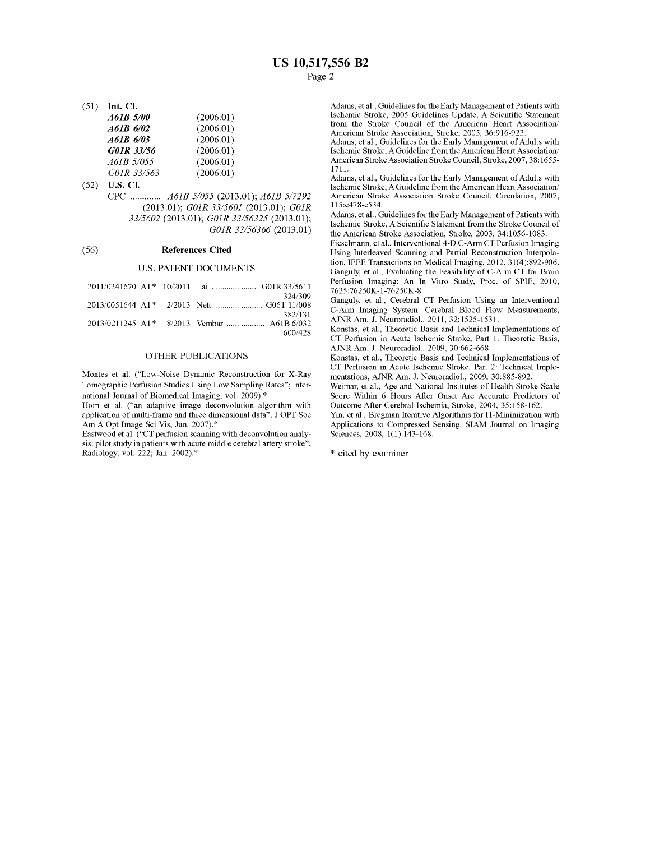(51) **Int. Cl.** 

| A61B 5/00   | (2006.01) |
|-------------|-----------|
| A61B 6/02   | (2006.01) |
| A61B 6/03   | (2006.01) |
| G01R 33/56  | (2006.01) |
| A61B 5/055  | (2006.01) |
| G01R 33/563 | (2006.01) |

(52) **U.S. Cl.**  CPC ............. *A61B 5/055* (2013.01); *A61B 5/7292*  (2013.01); *G0JR 33/5601* (2013.01); *G0JR 33/5602* (2013.01); *G0JR 33/56325* (2013.01); *G0JR 33/56366* (2013.01)

#### (56) **References Cited**

#### U.S. PATENT DOCUMENTS

|  | 324/309                                        |
|--|------------------------------------------------|
|  |                                                |
|  | 382/131                                        |
|  | $2013/0211245$ A1* $8/2013$ Vembar  A61B 6/032 |
|  | 600/428                                        |

## OTHER PUBLICATIONS

Montes et al. ("Low-Noise Dynamic Reconstruction for X-Ray Tomographic Perfusion Studies Using Low Sampling Rates"; International Journal of Biomedical Imaging, vol. 2009). \*

Hom et al. ("an adaptive image deconvolution algorithm with application of multi-frame and three dimensional data"; J OPT Soc Am A Opt Image Sci Vis, Jun. 2007). \*

Eastwood et al. ("CT perfusion scanning with deconvolution analysis: pilot study in patients with acute middle cerebral artery stroke"; Radiology, vol. 222; Jan. 2002). \*

Adams, et al., Guidelines for the Early Management of Patients with Ischemic Stroke, 2005 Guidelines Update, A Scientific Statement from the Stroke Council of the American Heart Association/ American Stroke Association, Stroke, 2005, 36:916-923.

Adams, et al., Guidelines for the Early Management of Adults with Ischemic Stroke, A Guideline from the American Heart Association/ American Stroke Association Stroke Council, Stroke, 2007, 38: 1655- 1711.

Adams, et al., Guidelines for the Early Management of Adults with Ischemic Stroke, A Guideline from the American Heart Association/ American Stroke Association Stroke Council, Circulation, 2007, 115 :e478-e534.

Adams, et al., Guidelines for the Early Management of Patients with Ischemic Stroke, A Scientific Statement from the Stroke Council of the American Stroke Association, Stroke, 2003, 34:1056-1083.

Fieselmann, et al., Interventional 4-D C-Arm CT Perfusion Imaging Using Interleaved Scanning and Partial Reconstruction Interpolation, IEEE Transactions on Medical Imaging, 2012, 31(4):892-906. Ganguly, et al., Evaluating the Feasibility of C-Arm CT for Brain Perfusion Imaging: An In Vitro Study, Proc. of SPIE, 2010, 7625:76250K-l-76250K-8.

Ganguly, et al., Cerebral CT Perfusion Using an Interventional C-Arm Imaging System: Cerebral Blood Flow Measurements, AJNRAm. J. Neuroradiol., 2011, 32:1525-1531.

Konstas, et al., Theoretic Basis and Technical Implementations of CT Perfusion in Acute Ischemic Stroke, Part 1: Theoretic Basis, AJNR Am. J. Neuroradiol., 2009, 30:662-668.

Konstas, et al., Theoretic Basis and Technical Implementations of CT Perfusion in Acute Ischemic Stroke, Part 2: Technical Implementations, AJNR Am. J. Neuroradiol., 2009, 30:885-892.

Weimar, et al., Age and National Institutes of Health Stroke Scale Score Within 6 Hours After Onset Are Accurate Predictors of Outcome After Cerebral Ischemia, Stroke, 2004, 35:158-162.

Yin, et al., Bregman Iterative Algorithms for Il-Minimization with Applications to Compressed Sensing, SIAM Journal on Imaging Sciences, 2008, 1(1):143-168.

\* cited by examiner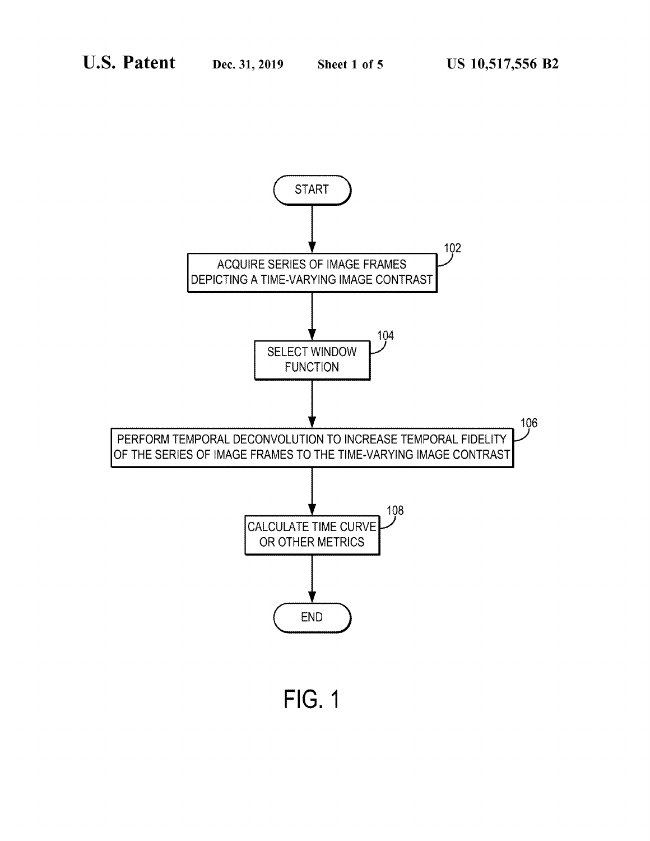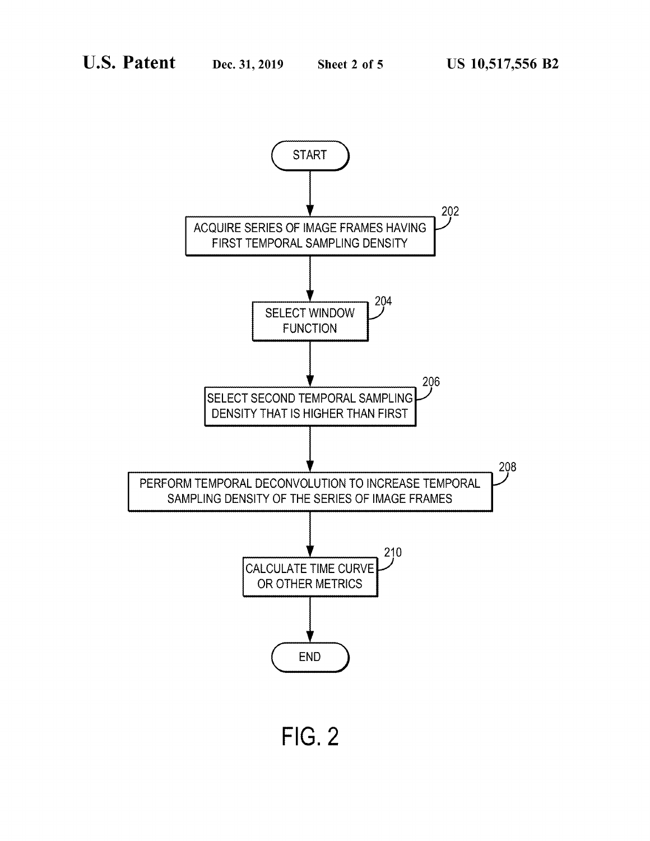

**FIG. 2**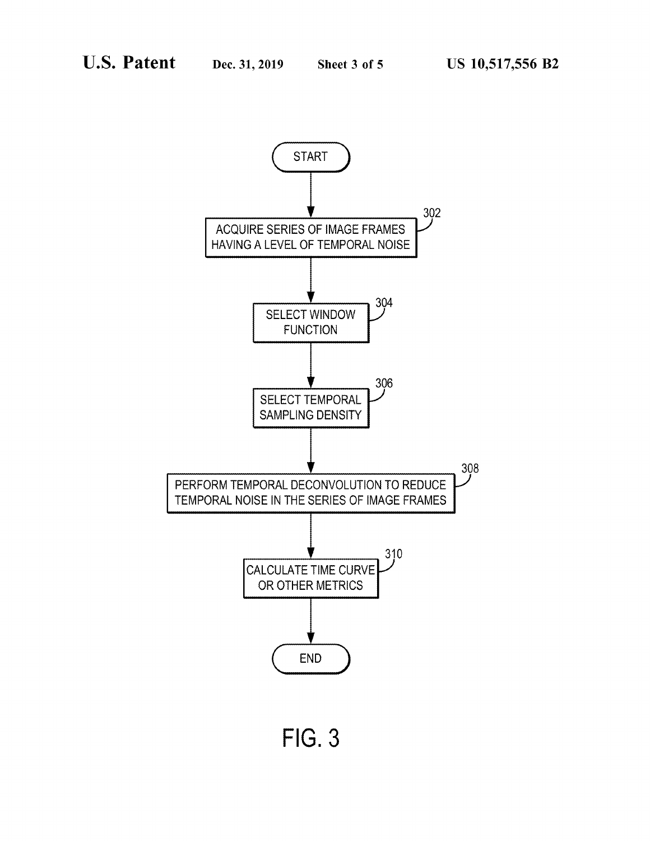

**FIG. 3**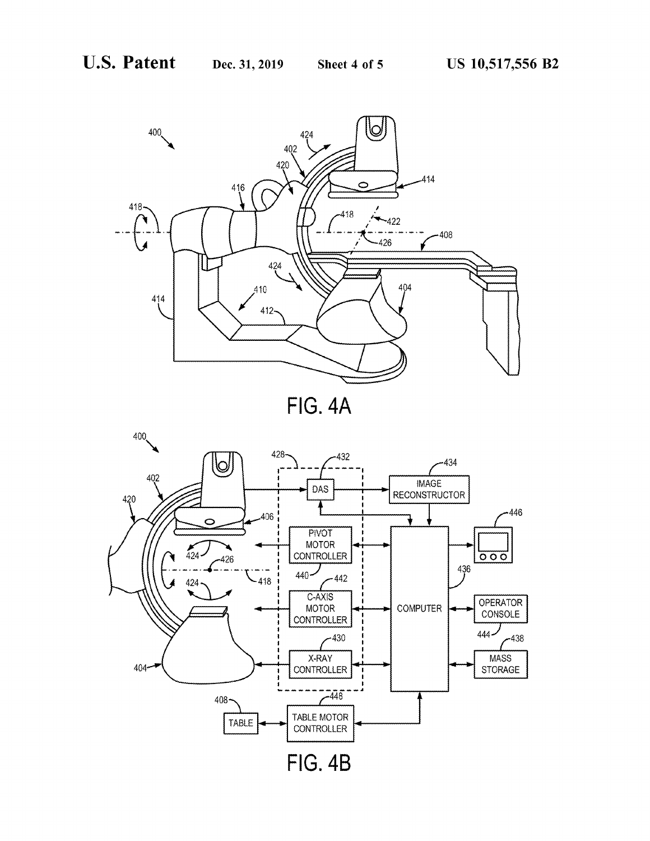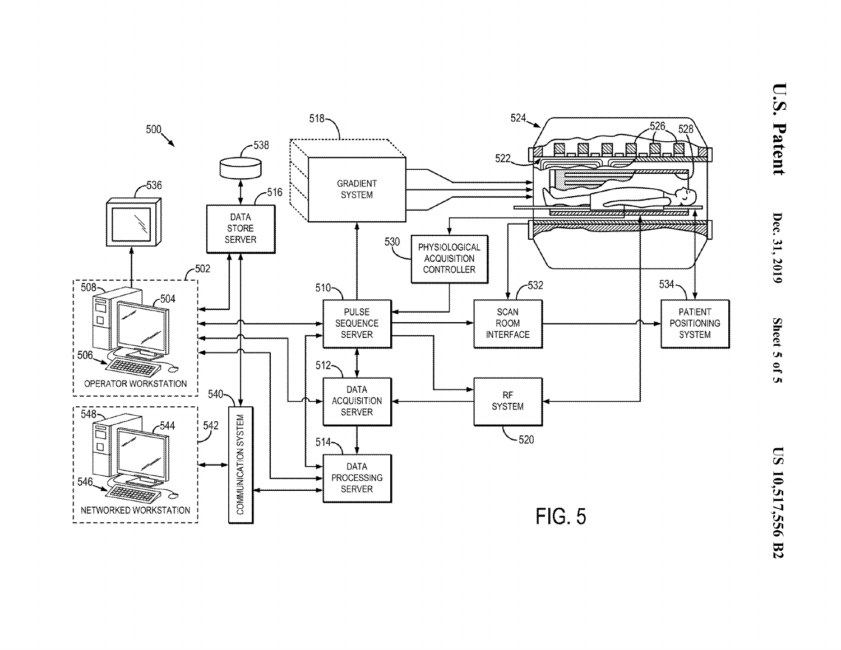

**Ul 0**  .... **Ul**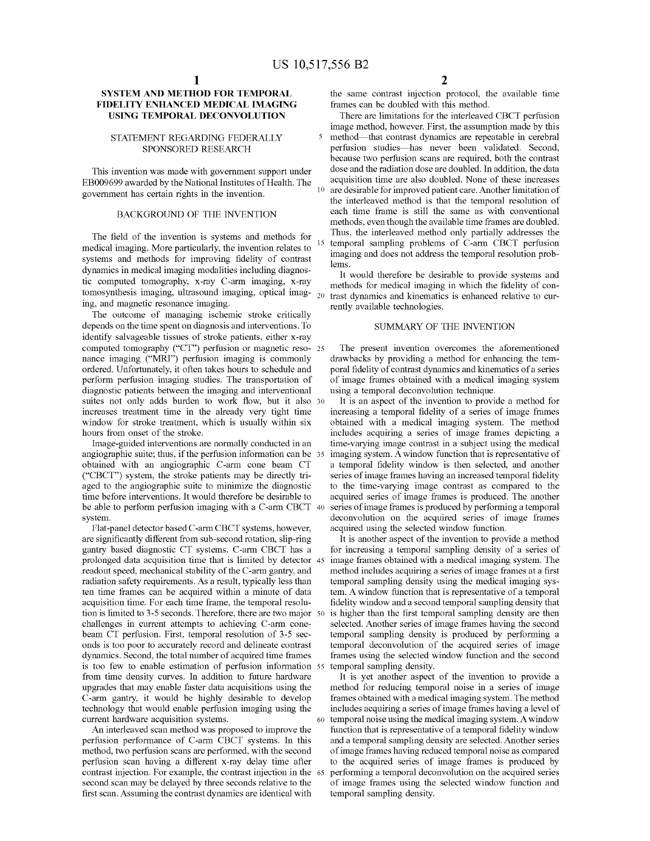## **SYSTEM AND METHOD FOR TEMPORAL FIDELITY ENHANCED MEDICAL IMAGING USING TEMPORAL DECONVOLUTION**

## STATEMENT REGARDING FEDERALLY SPONSORED RESEARCH

This invention was made with government support under EB009699 awarded by the National Institutes of Health. The government has certain rights in the invention.

## BACKGROUND OF THE INVENTION

The field of the invention is systems and methods for medical imaging. More particularly, the invention relates to systems and methods for improving fidelity of contrast dynamics in medical imaging modalities including diagnostic computed tomography, x-ray C-arm imaging, x-ray tomosynthesis imaging, ultrasound imaging, optical imag- $_{20}$ ing, and magnetic resonance imaging.

The outcome of managing ischemic stroke critically depends on the time spent on diagnosis and interventions. To identify salvageable tissues of stroke patients, either x-ray computed tomography ("CT") perfusion or magnetic reso- 25 nance imaging ("MRI") perfusion imaging is commonly ordered. Unfortunately, it often takes hours to schedule and perform perfusion imaging studies. The transportation of diagnostic patients between the imaging and interventional suites not only adds burden to work flow, but it also 30 increases treatment time in the already very tight time window for stroke treatment, which is usually within six hours from onset of the stroke.<br>Image-guided interventions are normally conducted in an

angiographic suite; thus, if the perfusion information can be obtained with an angiographic C-arm cone beam CT ("CBCT") system, the stroke patients may be directly triaged to the angiographic suite to minimize the diagnostic time before interventions. It would therefore be desirable to be able to perform perfusion imaging with a C-arm CBCT 40 system.

Flat-panel detector based C-arm CBCT systems, however, are significantly different from sub-second rotation, slip-ring gantry based diagnostic CT systems. C-arm CBCT has a prolonged data acquisition time that is limited by detector readout speed, mechanical stability of the C-arm gantry, and radiation safety requirements. As a result, typically less than ten time frames can be acquired within a minute of data acquisition time. For each time frame, the temporal resolution is limited to 3-5 seconds. Therefore, there are two major challenges in current attempts to achieving C-arm conebeam CT perfusion. First, temporal resolution of 3-5 seconds is too poor to accurately record and delineate contrast dynamics. Second, the total number of acquired time frames is too few to enable estimation of perfusion information 55 from time density curves. In addition to future hardware upgrades that may enable faster data acquisitions using the C-arm gantry, it would be highly desirable to develop technology that would enable perfusion imaging using the current hardware acquisition systems.

An interleaved scan method was proposed to improve the perfusion performance of C-arm CBCT systems. In this method, two perfusion scans are performed, with the second perfusion scan having a different x-ray delay time after contrast injection. For example, the contrast injection in the second scan may be delayed by three seconds relative to the first scan. Assuming the contrast dynamics are identical with

the same contrast injection protocol, the available time frames can be doubled with this method.

There are limitations for the interleaved CBCT perfusion image method, however. First, the assumption made by this 5 method-that contrast dynamics are repeatable in cerebral perfusion studies-has never been validated. Second, because two perfusion scans are required, both the contrast dose and the radiation dose are doubled. In addition, the data acquisition time are also doubled. None of these increases are desirable for improved patient care. Another limitation of the interleaved method is that the temporal resolution of each time frame is still the same as with conventional methods, even though the available time frames are doubled. Thus, the interleaved method only partially addresses the temporal sampling problems of C-arm CBCT perfusion imaging and does not address the temporal resolution problems.

It would therefore be desirable to provide systems and methods for medical imaging in which the fidelity of contrast dynamics and kinematics is enhanced relative to currently available technologies.

## SUMMARY OF THE INVENTION

The present invention overcomes the aforementioned drawbacks by providing a method for enhancing the temporal fidelity of contrast dynamics and kinematics of a series of image frames obtained with a medical imaging system using a temporal deconvolution technique.

It is an aspect of the invention to provide a method for increasing a temporal fidelity of a series of image frames obtained with a medical imaging system. The method includes acquiring a series of image frames depicting a time-varying image contrast in a subject using the medical imaging system. A window function that is representative of a temporal fidelity window is then selected, and another series of image frames having an increased temporal fidelity to the time-varying image contrast as compared to the acquired series of image frames is produced. The another series of image frames is produced by performing a temporal deconvolution on the acquired series of image frames acquired using the selected window function.

It is another aspect of the invention to provide a method for increasing a temporal sampling density of a series of image frames obtained with a medical imaging system. The method includes acquiring a series of image frames at a first temporal sampling density using the medical imaging system. A window function that is representative of a temporal fidelity window and a second temporal sampling density that is higher than the first temporal sampling density are then selected. Another series of image frames having the second temporal sampling density is produced by performing a temporal deconvolution of the acquired series of image frames using the selected window function and the second temporal sampling density.

It is yet another aspect of the invention to provide a method for reducing temporal noise in a series of image frames obtained with a medical imaging system. The method includes acquiring a series of image frames having a level of 60 temporal noise using the medical imaging system. A window function that is representative of a temporal fidelity window and a temporal sampling density are selected. Another series of image frames having reduced temporal noise as compared to the acquired series of image frames is produced by performing a temporal deconvolution on the acquired series of image frames using the selected window function and temporal sampling density.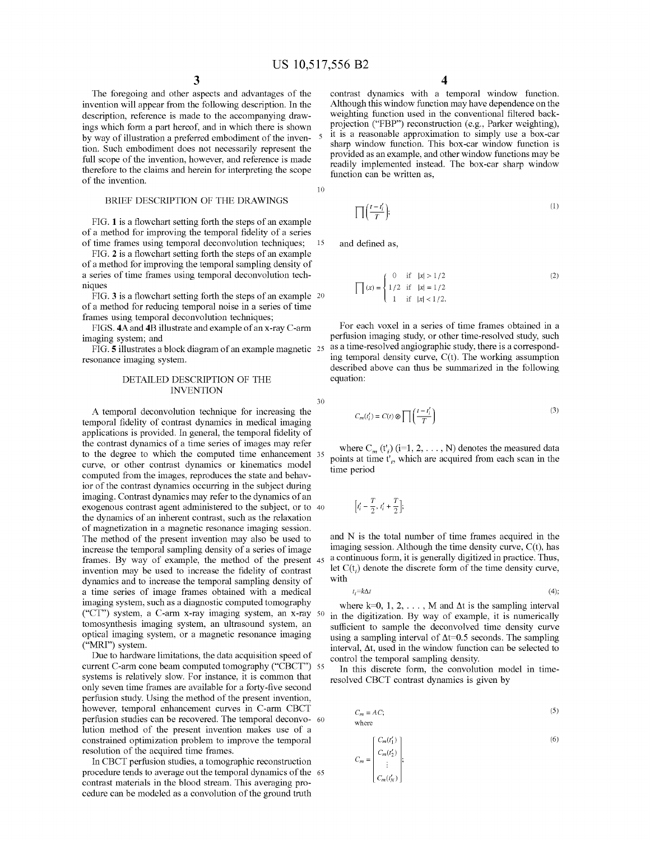10

The foregoing and other aspects and advantages of the invention will appear from the following description. In the description, reference is made to the accompanying drawings which form a part hereof, and in which there is shown by way of illustration a preferred embodiment of the invention. Such embodiment does not necessarily represent the full scope of the invention, however, and reference is made therefore to the claims and herein for interpreting the scope of the invention.

## BRIEF DESCRIPTION OF THE DRAWINGS

FIG. **1** is a flowchart setting forth the steps of an example of a method for improving the temporal fidelity of a series of time frames using temporal deconvolution techniques; 15

FIG. **2** is a flowchart setting forth the steps of an example of a method for improving the temporal sampling density of a series of time frames using temporal deconvolution techniques

FIG. **3** is a flowchart setting forth the steps of an example 20 of a method for reducing temporal noise in a series of time frames using temporal deconvolution techniques;

FIGS. **4A and 4B** illustrate and example of an x-ray C-arm imaging system; and

FIG. **5** illustrates a block diagram of an example magnetic 25 resonance imaging system.

## DETAILED DESCRIPTION OF THE INVENTION

A temporal deconvolution technique for increasing the temporal fidelity of contrast dynamics in medical imaging applications is provided. In general, the temporal fidelity of the contrast dynamics of a time series of images may refer to the degree to which the computed time enhancement 35 curve, or other contrast dynamics or kinematics model computed from the images, reproduces the state and behavior of the contrast dynamics occurring in the subject during imaging. Contrast dynamics may refer to the dynamics of an exogenous contrast agent administered to the subject, or to 40 the dynamics of an inherent contrast, such as the relaxation of magnetization in a magnetic resonance imaging session. The method of the present invention may also be used to increase the temporal sampling density of a series of image frames. By way of example, the method of the present 45 invention may be used to increase the fidelity of contrast dynamics and to increase the temporal sampling density of a time series of image frames obtained with a medical imaging system, such as a diagnostic computed tomography ("CT") system, a C-arm x-ray imaging system, an x-ray 50 tomosynthesis imaging system, an ultrasound system, an optical imaging system, or a magnetic resonance imaging ("MRI") system.

Due to hardware limitations, the data acquisition speed of current C-arm cone beam computed tomography ("CBCT") 55 systems is relatively slow. For instance, it is common that only seven time frames are available for a forty-five second perfusion study. Using the method of the present invention, however, temporal enhancement curves in C-arm CBCT perfusion studies can be recovered. The temporal deconvo- 60 lution method of the present invention makes use of a constrained optimization problem to improve the temporal resolution of the acquired time frames.

In CBCT perfusion studies, a tomographic reconstruction procedure tends to average out the temporal dynamics of the 65 contrast materials in the blood stream. This averaging procedure can be modeled as a convolution of the ground truth

**3 4** 

contrast dynamics with a temporal window function. Although this window function may have dependence on the weighting function used in the conventional filtered backprojection ("FBP") reconstruction (e.g., Parker weighting), it is a reasonable approximation to simply use a box-car sharp window function. This box-car window function is provided as an example, and other window functions may be readily implemented instead. The box-car sharp window function can be written as,

$$
\prod \left( \frac{t - t'_i}{T} \right); \tag{1}
$$

and defined as,

$$
\prod (x) = \begin{cases} 0 & \text{if } |x| > 1/2 \\ 1/2 & \text{if } |x| = 1/2 \\ 1 & \text{if } |x| < 1/2. \end{cases}
$$
 (2)

For each voxel in a series of time frames obtained in a perfusion imaging study, or other time-resolved study, such as a time-resolved angiographic study, there is a corresponding temporal density curve, C(t). The working assumption described above can thus be summarized in the following equation:

$$
30^-
$$

$$
C_m(t'_i) = C(t) \otimes \prod \left( \frac{t - t'_i}{T} \right)
$$
 (3)

where  $C_m(t)$  (i=1, 2, ..., N) denotes the measured data points at time t',, which are acquired from each scan in the time period

$$
\left[t_i'-\frac{T}{2}, t_i'+\frac{T}{2}\right];
$$

*Cm=* 

 $t_i$ 

and N is the total number of time frames acquired in the imaging session. Although the time density curve, C(t), has a continuous form, it is generally digitized in practice. Thus, let  $C(t)$ , denote the discrete form of the time density curve, with

$$
=k\Delta t \tag{4};
$$

where  $k=0, 1, 2, \ldots$ , M and  $\Delta t$  is the sampling interval in the digitization. By way of example, it is numerically sufficient to sample the deconvolved time density curve using a sampling interval of  $\Delta t = 0.5$  seconds. The sampling interval,  $\Delta t$ , used in the window function can be selected to control the temporal sampling density.

In this discrete form, the convolution model in timeresolved CBCT contrast dynamics is given by

$$
C_m = AC;
$$
 (5) where

$$
= \begin{bmatrix} C_m(t_1') \\ C_m(t_2') \\ \vdots \\ C_m(t_N') \end{bmatrix};
$$
\n(6)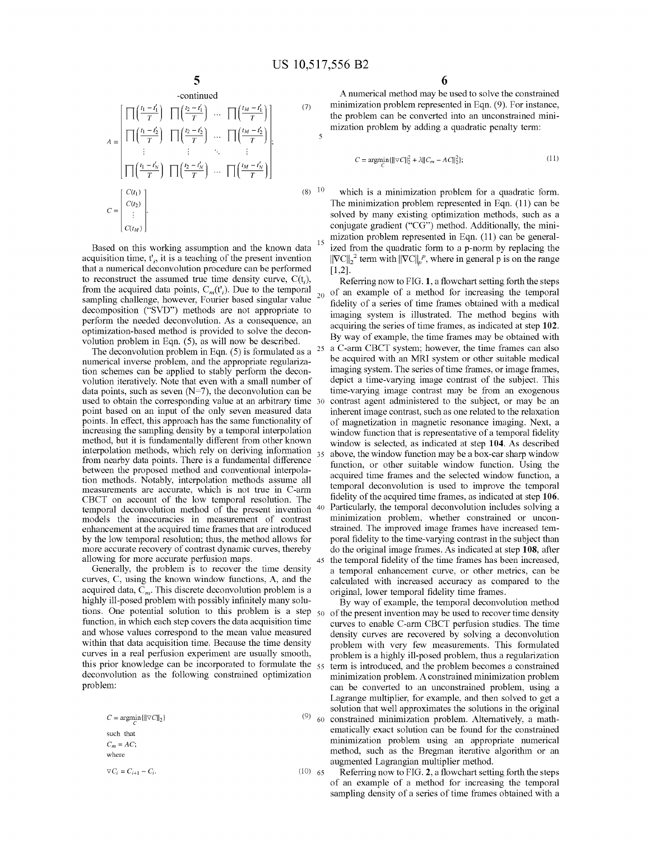$\overline{\phantom{a}}$ 

(7)

 $(8)$  10

$$
A = \begin{bmatrix} \prod \left( \frac{t_1 - t'_1}{T} \right) & \prod \left( \frac{t_2 - t'_1}{T} \right) & \cdots & \prod \left( \frac{t_M - t'_1}{T} \right) \\ \prod \left( \frac{t_1 - t'_2}{T} \right) & \prod \left( \frac{t_2 - t'_2}{T} \right) & \cdots & \prod \left( \frac{t_M - t'_2}{T} \right) \\ \vdots & \vdots & \ddots & \vdots \\ \prod \left( \frac{t_1 - t'_N}{T} \right) & \prod \left( \frac{t_2 - t'_N}{T} \right) & \cdots & \prod \left( \frac{t_M - t'_N}{T} \right) \end{bmatrix};
$$
  

$$
C = \begin{bmatrix} C(t_1) \\ C(t_2) \\ \vdots \\ C(t_M) \end{bmatrix}.
$$

Based on this working assumption and the known data acquisition time,  $t'_{i}$ , it is a teaching of the present invention that a numerical deconvolution procedure can be performed to reconstruct the assumed true time density curve,  $C(t_i)$ , from the acquired data points,  $C_m(t)$ . Due to the temporal sampling challenge, however, Fourier based singular value decomposition ("SYD") methods are not appropriate to perform the needed deconvolution. As a consequence, an optimization-based method is provided to solve the deconvolution problem in Eqn. (5), as will now be described.

The deconvolution problem in Eqn. (5) is formulated as a  $2^5$ numerical inverse problem, and the appropriate regularization schemes can be applied to stably perform the deconvolution iteratively. Note that even with a small number of data points, such as seven  $(N=7)$ , the deconvolution can be used to obtain the corresponding value at an arbitrary time 30 point based on an input of the only seven measured data points. In effect, this approach has the same functionality of increasing the sampling density by a temporal interpolation method, but it is fundamentally different from other known interpolation methods, which rely on deriving information 35 from nearby data points. There is a fundamental difference between the proposed method and conventional interpolation methods. Notably, interpolation methods assume all measurements are accurate, which is not true in C-arm CBCT on account of the low temporal resolution. The temporal deconvolution method of the present invention models the inaccuracies in measurement of contrast enhancement at the acquired time frames that are introduced by the low temporal resolution; thus, the method allows for more accurate recovery of contrast dynamic curves, thereby

Generally, the problem is to recover the time density curves, C, using the known window functions, A, and the acquired data, *Cm.* This discrete deconvolution problem is a highly ill-posed problem with possibly infinitely many solutions. One potential solution to this problem is a step  $50$ function, in which each step covers the data acquisition time and whose values correspond to the mean value measured within that data acquisition time. Because the time density curves in a real perfusion experiment are usually smooth, this prior knowledge can be incorporated to formulate the  $55$ deconvolution as the following constrained optimization problem:

 $C = \operatorname{argmin} \{ ||\nabla C||_2 \}$ such that *Cm= AC;*  **where**   $\nabla C_i = C_{i+1} - C_i.$  $(10)$  65

A numerical method may be used to solve the constrained minimization problem represented in Eqn. (9). For instance, the problem can be converted into an unconstrained minimization problem by adding a quadratic penalty term:

$$
C = \operatorname{argmin} \{ ||\nabla C||_2^2 + \lambda ||C_m - AC||_2^2 \},\tag{11}
$$

which is a minimization problem for a quadratic form. The minimization problem represented in Eqn. (11) can be solved by many existing optimization methods, such as a conjugate gradient ("CG") method. Additionally, the minimization problem represented in Eqn. (11) can be generalized from the quadratic form to a p-norm by replacing the  $\|\nabla C\|_2^2$  term with  $\|\nabla C\|_p^p$ , where in general p is on the range  $[1,2]$ .

Referring now to FIG. **1,** a flowchart setting forth the steps  $_{20}$  of an example of a method for increasing the temporal fidelity of a series of time frames obtained with a medical imaging system is illustrated. The method begins with acquiring the series of time frames, as indicated at step **102.**  By way of example, the time frames may be obtained with a C-arm CBCT system; however, the time frames can also be acquired with an MRI system or other suitable medical imaging system. The series of time frames, or image frames, depict a time-varying image contrast of the subject. This time-varying image contrast may be from an exogenous contrast agent administered to the subject, or may be an inherent image contrast, such as one related to the relaxation of magnetization in magnetic resonance imaging. Next, a window function that is representative of a temporal fidelity window is selected, as indicated at step **104.** As described above, the window function may be a box-car sharp window function, or other suitable window function. Using the acquired time frames and the selected window function, a temporal deconvolution is used to improve the temporal fidelity of the acquired time frames, as indicated at step **106.**  Particularly, the temporal deconvolution includes solving a minimization problem, whether constrained or unconstrained. The improved image frames have increased temporal fidelity to the time-varying contrast in the subject than do the original image frames. As indicated at step **108,** after allowing for more accurate perfusion maps. 45 the temporal fidelity of the time frames has been increased, a temporal enhancement curve, or other metrics, can be calculated with increased accuracy as compared to the original, lower temporal fidelity time frames.

> $(9)$  60 constrained minimization problem. Alternatively, a math-By way of example, the temporal deconvolution method of the present invention may be used to recover time density curves to enable C-arm CBCT perfusion studies. The time density curves are recovered by solving a deconvolution problem with very few measurements. This formulated problem is a highly ill-posed problem, thus a regularization term is introduced, and the problem becomes a constrained minimization problem. A constrained minimization problem can be converted to an unconstrained problem, using a Lagrange multiplier, for example, and then solved to get a solution that well approximates the solutions in the original ematically exact solution can be found for the constrained minimization problem using an appropriate numerical method, such as the Bregman iterative algorithm or an augmented Lagrangian multiplier method.

Referring now to FIG. **2,** a flowchart setting forth the steps of an example of a method for increasing the temporal sampling density of a series of time frames obtained with a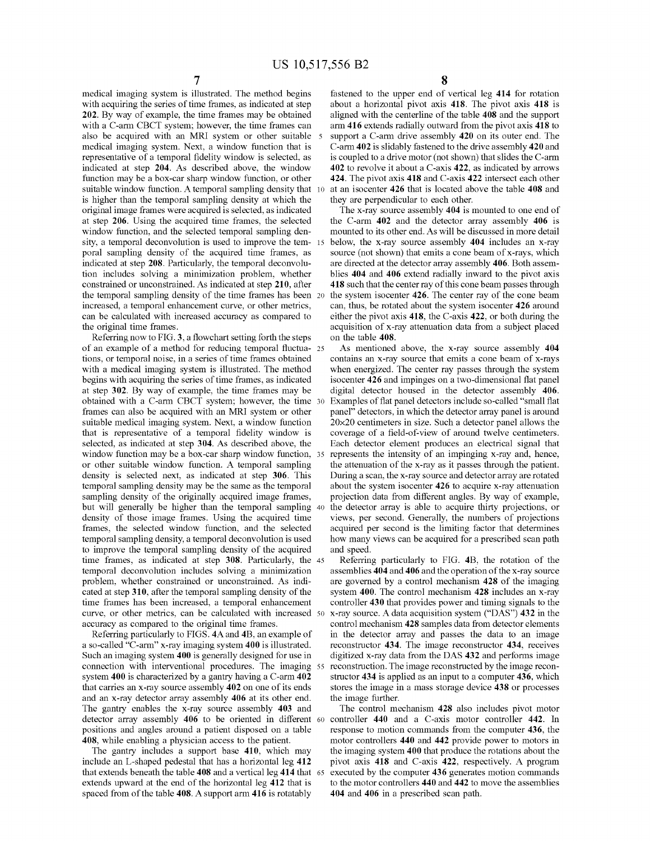medical imaging system is illustrated. The method begins with acquiring the series of time frames, as indicated at step **202.** By way of example, the time frames may be obtained with a C-arm CBCT system; however, the time frames can also be acquired with an MRI system or other suitable 5 medical imaging system. Next, a window function that is representative of a temporal fidelity window is selected, as indicated at step **204.** As described above, the window function may be a box-car sharp window function, or other suitable window function. A temporal sampling density that 10 is higher than the temporal sampling density at which the original image frames were acquired is selected, as indicated at step **206.** Using the acquired time frames, the selected window function, and the selected temporal sampling density, a temporal deconvolution is used to improve the tem- 15 poral sampling density of the acquired time frames, as indicated at step **208.** Particularly, the temporal deconvolution includes solving a minimization problem, whether constrained or unconstrained. As indicated at step **210,** after the temporal sampling density of the time frames has been 20 increased, a temporal enhancement curve, or other metrics, can be calculated with increased accuracy as compared to the original time frames.

Referring now to FIG. **3,** a flowchart setting forth the steps of an example of a method for reducing temporal fluctua- <sup>25</sup> tions, or temporal noise, in a series of time frames obtained with a medical imaging system is illustrated. The method begins with acquiring the series of time frames, as indicated at step **302.** By way of example, the time frames may be obtained with a C-arm CBCT system; however, the time 30 frames can also be acquired with an MRI system or other suitable medical imaging system. Next, a window function that is representative of a temporal fidelity window is selected, as indicated at step **304.** As described above, the window function may be a box-car sharp window function, 35 or other suitable window function. A temporal sampling density is selected next, as indicated at step **306.** This temporal sampling density may be the same as the temporal sampling density of the originally acquired image frames, but will generally be higher than the temporal sampling 40 density of those image frames. Using the acquired time frames, the selected window function, and the selected temporal sampling density, a temporal deconvolution is used to improve the temporal sampling density of the acquired time frames, as indicated at step **308.** Particularly, the 45 temporal deconvolution includes solving a minimization problem, whether constrained or unconstrained. As indicated at step **310,** after the temporal sampling density of the time frames has been increased, a temporal enhancement curve, or other metrics, can be calculated with increased 50 accuracy as compared to the original time frames.

Referring particularly to FIGS. **4A and 4B,** an example of a so-called "C-arm" x-ray imaging system **400** is illustrated. Such an imaging system **400** is generally designed for use in connection with interventional procedures. The imaging 55 system **400** is characterized by a gantry having a C-arm **402**  that carries an x-ray source assembly **402** on one of its ends and an x-ray detector array assembly **406** at its other end. The gantry enables the x-ray source assembly **403** and detector array assembly **406** to be oriented in different 60 controller **440** and a C-axis motor controller **442.** In positions and angles around a patient disposed on a table **408,** while enabling a physician access to the patient.

The gantry includes a support base **410,** which may include an L-shaped pedestal that has a horizontal leg **412**  that extends beneath the table **408** and a vertical leg **414** that 65 extends upward at the end of the horizontal leg **412** that is spaced from of the table **408.** A support arm **416** is rotatably

fastened to the upper end of vertical leg **414** for rotation about a horizontal pivot axis **418.** The pivot axis **418** is aligned with the centerline of the table **408** and the support arm **416** extends radially outward from the pivot axis **418** to support a C-arm drive assembly **420** on its outer end. The C-arm **402** is slidably fastened to the drive assembly **420** and is coupled to a drive motor (not shown) that slides the C-arm **402** to revolve it about a C-axis **422,** as indicated by arrows **424.** The pivot axis **418** and C-axis **422** intersect each other at an isocenter **426** that is located above the table **408** and they are perpendicular to each other.

The x-ray source assembly **404** is mounted to one end of the C-arm **402** and the detector array assembly **406** is mounted to its other end. As will be discussed in more detail below, the x-ray source assembly **404** includes an x-ray source (not shown) that emits a cone beam of x-rays, which are directed at the detector array assembly **406.** Both assemblies **404** and **406** extend radially inward to the pivot axis **418** such that the center ray of this cone beam passes through the system isocenter **426.** The center ray of the cone beam can, thus, be rotated about the system isocenter **426** around either the pivot axis **418,** the C-axis **422,** or both during the acquisition of x-ray attenuation data from a subject placed on the table **408.** 

As mentioned above, the x-ray source assembly **404**  contains an x-ray source that emits a cone beam of x-rays when energized. The center ray passes through the system isocenter **426** and impinges on a two-dimensional flat panel digital detector housed in the detector assembly **406.**  Examples of flat panel detectors include so-called "small flat panel" detectors, in which the detector array panel is around 20x20 centimeters in size. Such a detector panel allows the coverage of a field-of-view of around twelve centimeters. Each detector element produces an electrical signal that represents the intensity of an impinging x-ray and, hence, the attenuation of the x-ray as it passes through the patient. During a scan, the x-ray source and detector array are rotated about the system isocenter **426** to acquire x-ray attenuation projection data from different angles. By way of example, the detector array is able to acquire thirty projections, or views, per second. Generally, the numbers of projections acquired per second is the limiting factor that determines how many views can be acquired for a prescribed scan path and speed.

Referring particularly to FIG. **4B,** the rotation of the assemblies **404** and **406** and the operation of the x-ray source are governed by a control mechanism **428** of the imaging system **400.** The control mechanism **428** includes an x-ray controller **430** that provides power and timing signals to the x-ray source. A data acquisition system ("DAS") **432** in the control mechanism **428** samples data from detector elements in the detector array and passes the data to an image reconstructor **434.** The image reconstructor **434,** receives digitized x-ray data from the DAS **432** and performs image reconstruction. The image reconstructed by the image reconstructor **434** is applied as an input to a computer **436,** which stores the image in a mass storage device **438** or processes the image further.

The control mechanism **428** also includes pivot motor response to motion commands from the computer **436,** the motor controllers **440** and **442** provide power to motors in the imaging system **400** that produce the rotations about the pivot axis **418** and C-axis **422,** respectively. A program executed by the computer **436** generates motion commands to the motor controllers **440** and **442** to move the assemblies **404 and 406** in a prescribed scan path.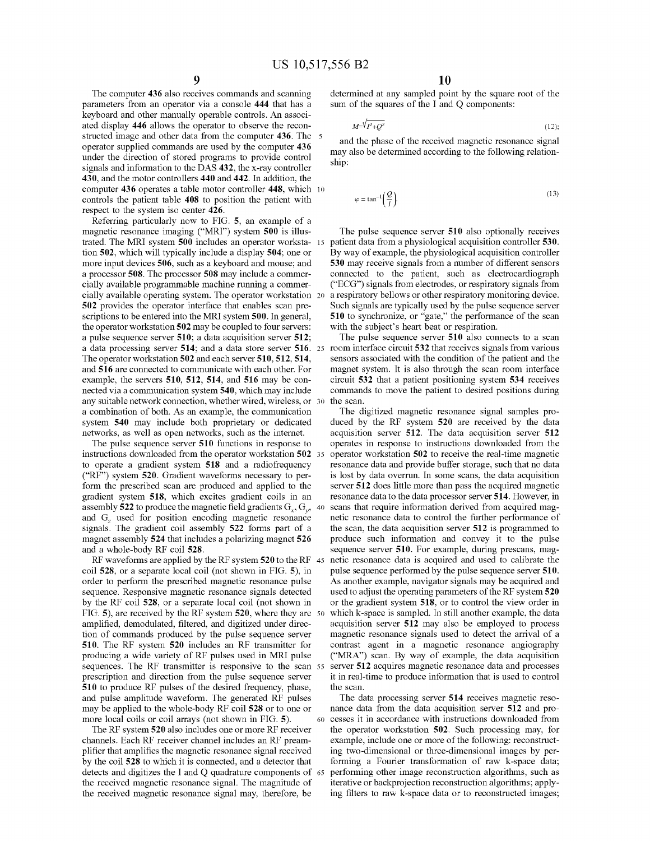The computer **436** also receives commands and scanning parameters from an operator via a console **444** that has a keyboard and other manually operable controls. An associated display **446** allows the operator to observe the reconstructed image and other data from the computer **436.** The 5 operator supplied commands are used by the computer **436**  under the direction of stored programs to provide control signals and information to the DAS **432,** the x-ray controller **430,** and the motor controllers **440** and **442.** In addition, the computer **436** operates a table motor controller **448,** which 10 controls the patient table **408** to position the patient with respect to the system iso center **426.** 

Referring particularly now to FIG. **5,** an example of a magnetic resonance imaging ("MRI") system **500** is illustrated. The MRI system **500** includes an operator worksta- 15 tion **502,** which will typically include a display **504;** one or more input devices **506,** such as a keyboard and mouse; and a processor **508.** The processor **508** may include a commercially available programmable machine running a commercially available operating system. The operator workstation 20 **502** provides the operator interface that enables scan prescriptions to be entered into the MRI system **500.** In general, the operator workstation **502** may be coupled to four servers: a pulse sequence server **510;** a data acquisition server **512;**  a data processing server **514;** and a data store server **516.** 25 The operator workstation **502** and each server **510, 512, 514,**  and **516** are connected to communicate with each other. For example, the servers **510, 512, 514, and 516** may be connected via a communication system **540,** which may include any suitable network connection, whether wired, wireless, or 30 the scan. a combination of both. As an example, the communication system **540** may include both proprietary or dedicated networks, as well as open networks, such as the internet.

The pulse sequence server **510** functions in response to instructions downloaded from the operator workstation **502** 35 to operate a gradient system **518** and a radiofrequency ("RF") system **520.** Gradient waveforms necessary to perform the prescribed scan are produced and applied to the gradient system **518,** which excites gradient coils in an assembly **522** to produce the magnetic field gradients  $G_x$ ,  $G_y$ , 40 and  $G_z$  used for position encoding magnetic resonance signals. The gradient coil assembly **522** forms part of a magnet assembly **524** that includes a polarizing magnet **526**  and a whole-body RF coil **528.** 

RF waveforms are applied by the RF system **520** to the RF 45 coil **528,** or a separate local coil (not shown in FIG. **5),** in order to perform the prescribed magnetic resonance pulse sequence. Responsive magnetic resonance signals detected by the RF coil **528,** or a separate local coil (not shown in FIG. **5),** are received by the RF system **520,** where they are 50 amplified, demodulated, filtered, and digitized under direction of commands produced by the pulse sequence server **510.** The RF system **520** includes an RF transmitter for producing a wide variety of RF pulses used in MRI pulse sequences. The RF transmitter is responsive to the scan 55 prescription and direction from the pulse sequence server **510** to produce RF pulses of the desired frequency, phase, and pulse amplitude waveform. The generated RF pulses may be applied to the whole-body RF coil **528** or to one or

The RF system **520** also includes one or more RF receiver channels. Each RF receiver channel includes an RF preamplifier that amplifies the magnetic resonance signal received by the coil **528** to which it is connected, and a detector that detects and digitizes the I and Q quadrature components of 65 the received magnetic resonance signal. The magnitude of the received magnetic resonance signal may, therefore, be

determined at any sampled point by the square root of the sum of the squares of the I and Q components:

$$
M = \sqrt{I^2 + Q^2} \tag{12};
$$

and the phase of the received magnetic resonance signal may also be determined according to the following relationship:

$$
\varphi = \tan^{-1}\left(\frac{Q}{l}\right). \tag{13}
$$

The pulse sequence server **510** also optionally receives patient data from a physiological acquisition controller **530.**  By way of example, the physiological acquisition controller **530** may receive signals from a number of different sensors connected to the patient, such as electrocardiograph ("ECG") signals from electrodes, or respiratory signals from a respiratory bellows or other respiratory monitoring device. Such signals are typically used by the pulse sequence server **510** to synchronize, or "gate," the performance of the scan with the subject's heart beat or respiration.

The pulse sequence server **510** also connects to a scan room interface circuit **532** that receives signals from various sensors associated with the condition of the patient and the magnet system. It is also through the scan room interface circuit **532** that a patient positioning system **534** receives commands to move the patient to desired positions during

The digitized magnetic resonance signal samples produced by the RF system **520** are received by the data acquisition server **512.** The data acquisition server **512**  operates in response to instructions downloaded from the operator workstation **502** to receive the real-time magnetic resonance data and provide buffer storage, such that no data is lost by data overrun. In some scans, the data acquisition server **512** does little more than pass the acquired magnetic resonance data to the data processor server **514.** However, in scans that require information derived from acquired magnetic resonance data to control the further performance of the scan, the data acquisition server **512** is programmed to produce such information and convey it to the pulse sequence server **510.** For example, during prescans, magnetic resonance data is acquired and used to calibrate the pulse sequence performed by the pulse sequence server **510.**  As another example, navigator signals may be acquired and used to adjust the operating parameters of the RF system **520**  or the gradient system **518,** or to control the view order in which k-space is sampled. In still another example, the data acquisition server **512** may also be employed to process magnetic resonance signals used to detect the arrival of a contrast agent in a magnetic resonance angiography ("MRA") scan. By way of example, the data acquisition server **512** acquires magnetic resonance data and processes it in real-time to produce information that is used to control the scan.

The data processing server **514** receives magnetic resonance data from the data acquisition server **512** and pro-60 cesses it in accordance with instructions downloaded from the operator workstation **502.** Such processing may, for example, include one or more of the following: reconstructing two-dimensional or three-dimensional images by performing a Fourier transformation of raw k-space data; performing other image reconstruction algorithms, such as iterative or backprojection reconstruction algorithms; applying filters to raw k-space data or to reconstructed images;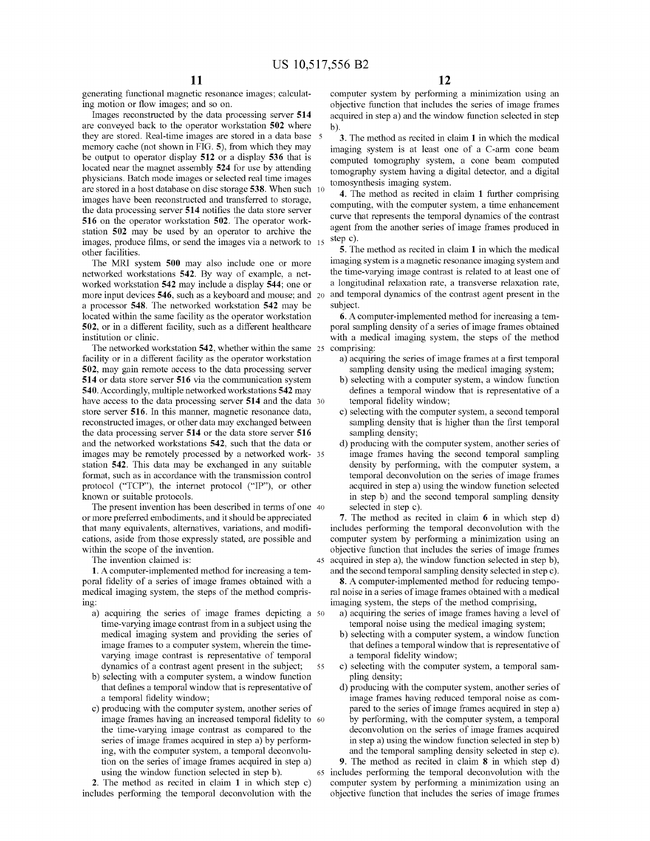generating functional magnetic resonance images; calculating motion or flow images; and so on.

Images reconstructed by the data processing server **514**  are conveyed back to the operator workstation **502** where they are stored. Real-time images are stored in a data base 5 memory cache (not shown in FIG. **5),** from which they may be output to operator display **512** or a display **536** that is located near the magnet assembly **524** for use by attending physicians. Batch mode images or selected real time images are stored in a host database on disc storage **538.** When such 10 images have been reconstructed and transferred to storage, the data processing server **514** notifies the data store server **516** on the operator workstation **502.** The operator workstation **502** may be used by an operator to archive the images, produce films, or send the images via a network to 15 other facilities.

The MRI system **500** may also include one or more networked workstations **542.** By way of example, a networked workstation **542** may include a display **544;** one or more input devices **546**, such as a keyboard and mouse; and 20 a processor **548.** The networked workstation **542** may be located within the same facility as the operator workstation **502,** or in a different facility, such as a different healthcare institution or clinic.

The networked workstation **542,** whether within the same 25 facility or in a different facility as the operator workstation **502,** may gain remote access to the data processing server **514** or data store server **516** via the communication system **540.** Accordingly, multiple networked workstations **542** may have access to the data processing server **514** and the data 30 store server **516**. In this manner, magnetic resonance data, reconstructed images, or other data may exchanged between the data processing server **514** or the data store server **516**  and the networked workstations **542,** such that the data or images may be remotely processed by a networked work- 35 station **542.** This data may be exchanged in any suitable format, such as in accordance with the transmission control protocol ("TCP"), the internet protocol ("IP"), or other known or suitable protocols.

The present invention has been described in terms of one 40 or more preferred embodiments, and it should be appreciated that many equivalents, alternatives, variations, and modifications, aside from those expressly stated, are possible and within the scope of the invention.

The invention claimed is:

**1.** A computer-implemented method for increasing a temporal fidelity of a series of image frames obtained with a medical imaging system, the steps of the method comprising:

- a) acquiring the series of image frames depicting a 50 time-varying image contrast from in a subject using the medical imaging system and providing the series of image frames to a computer system, wherein the timevarying image contrast is representative of temporal dynamics of a contrast agent present in the subject; 55
- b) selecting with a computer system, a window function that defines a temporal window that is representative of a temporal fidelity window;
- c) producing with the computer system, another series of image frames having an increased temporal fidelity to 60 the time-varying image contrast as compared to the series of image frames acquired in step a) by performing, with the computer system, a temporal deconvolution on the series of image frames acquired in step a) using the window function selected in step b).

**2.** The method as recited in claim **1** in which step c) includes performing the temporal deconvolution with the computer system by performing a minimization using an objective function that includes the series of image frames acquired in step a) and the window function selected in step b).

**3.** The method as recited in claim **1** in which the medical imaging system is at least one of a C-arm cone beam computed tomography system, a cone beam computed tomography system having a digital detector, and a digital tomosynthesis imaging system.

**4.** The method as recited in claim **1** further comprising computing, with the computer system, a time enhancement curve that represents the temporal dynamics of the contrast agent from the another series of image frames produced in step c).

**5.** The method as recited in claim **1** in which the medical imaging system is a magnetic resonance imaging system and the time-varying image contrast is related to at least one of a longitudinal relaxation rate, a transverse relaxation rate, and temporal dynamics of the contrast agent present in the subject.

**6.** A computer-implemented method for increasing a temporal sampling density of a series of image frames obtained with a medical imaging system, the steps of the method comprising:

- a) acquiring the series of image frames at a first temporal sampling density using the medical imaging system;
- b) selecting with a computer system, a window function defines a temporal window that is representative of a temporal fidelity window;
- c) selecting with the computer system, a second temporal sampling density that is higher than the first temporal sampling density;
- d) producing with the computer system, another series of image frames having the second temporal sampling density by performing, with the computer system, a temporal deconvolution on the series of image frames acquired in step a) using the window function selected in step b) and the second temporal sampling density selected in step c).

**7.** The method as recited in claim **6** in which step d) includes performing the temporal deconvolution with the computer system by performing a minimization using an objective function that includes the series of image frames 45 acquired in step a), the window function selected in step b), and the second temporal sampling density selected in step c).

**8.** A computer-implemented method for reducing temporal noise in a series of image frames obtained with a medical imaging system, the steps of the method comprising,

- a) acquiring the series of image frames having a level of temporal noise using the medical imaging system;
- b) selecting with a computer system, a window function that defines a temporal window that is representative of a temporal fidelity window;
- c) selecting with the computer system, a temporal sampling density;
- d) producing with the computer system, another series of image frames having reduced temporal noise as compared to the series of image frames acquired in step a) by performing, with the computer system, a temporal deconvolution on the series of image frames acquired in step a) using the window function selected in step b) and the temporal sampling density selected in step c).

**9.** The method as recited in claim **8** in which step d) 65 includes performing the temporal deconvolution with the computer system by performing a minimization using an objective function that includes the series of image frames